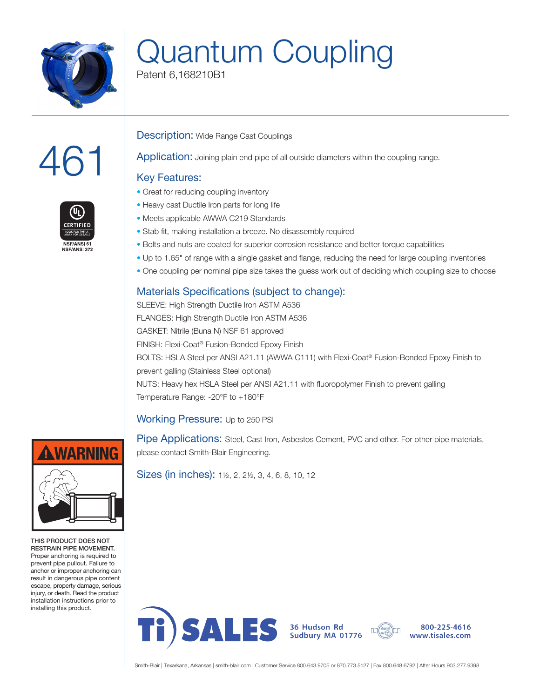

# Quantum Coupling

Patent 6,168210B1

# 461



#### **Description:** Wide Range Cast Couplings

Application: Joining plain end pipe of all outside diameters within the coupling range.

## Key Features:

- Great for reducing coupling inventory
- Heavy cast Ductile Iron parts for long life
- Meets applicable AWWA C219 Standards
- Stab fit, making installation a breeze. No disassembly required
- Bolts and nuts are coated for superior corrosion resistance and better torque capabilities
- Up to 1.65" of range with a single gasket and flange, reducing the need for large coupling inventories
- One coupling per nominal pipe size takes the guess work out of deciding which coupling size to choose

## Materials Specifications (subject to change):

SLEEVE: High Strength Ductile Iron ASTM A536 FLANGES: High Strength Ductile Iron ASTM A536 GASKET: Nitrile (Buna N) NSF 61 approved FINISH: Flexi-Coat® Fusion-Bonded Epoxy Finish BOLTS: HSLA Steel per ANSI A21.11 (AWWA C111) with Flexi-Coat® Fusion-Bonded Epoxy Finish to prevent galling (Stainless Steel optional) NUTS: Heavy hex HSLA Steel per ANSI A21.11 with fluoropolymer Finish to prevent galling Temperature Range: -20°F to +180°F

#### Working Pressure: Up to 250 PSI

Pipe Applications: Steel, Cast Iron, Asbestos Cement, PVC and other. For other pipe materials, please contact Smith-Blair Engineering.

Sizes (in inches): 1½, 2, 2½, 3, 4, 6, 8, 10, 12



THIS PRODUCT DOES NOT RESTRAIN PIPE MOVEMENT. Proper anchoring is required to prevent pipe pullout. Failure to anchor or improper anchoring can result in dangerous pipe content escape, property damage, serious injury, or death. Read the product installation instructions prior to installing this product.